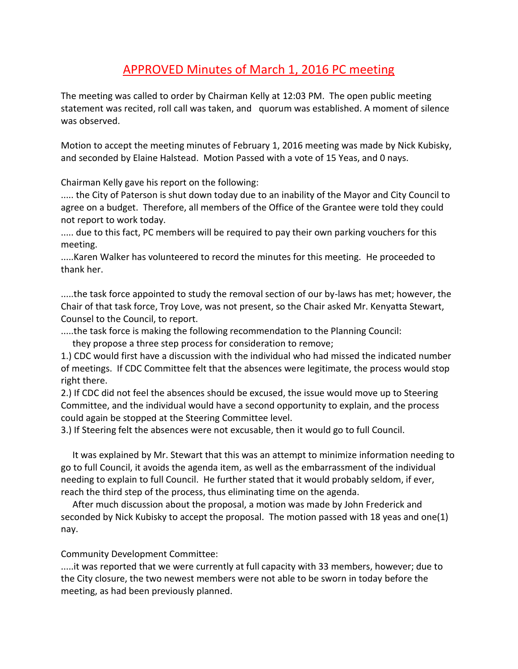## APPROVED Minutes of March 1, 2016 PC meeting

The meeting was called to order by Chairman Kelly at 12:03 PM. The open public meeting statement was recited, roll call was taken, and quorum was established. A moment of silence was observed.

Motion to accept the meeting minutes of February 1, 2016 meeting was made by Nick Kubisky, and seconded by Elaine Halstead. Motion Passed with a vote of 15 Yeas, and 0 nays.

Chairman Kelly gave his report on the following:

..... the City of Paterson is shut down today due to an inability of the Mayor and City Council to agree on a budget. Therefore, all members of the Office of the Grantee were told they could not report to work today.

..... due to this fact, PC members will be required to pay their own parking vouchers for this meeting.

.....Karen Walker has volunteered to record the minutes for this meeting. He proceeded to thank her.

.....the task force appointed to study the removal section of our by-laws has met; however, the Chair of that task force, Troy Love, was not present, so the Chair asked Mr. Kenyatta Stewart, Counsel to the Council, to report.

.....the task force is making the following recommendation to the Planning Council: they propose a three step process for consideration to remove;

1.) CDC would first have a discussion with the individual who had missed the indicated number of meetings. If CDC Committee felt that the absences were legitimate, the process would stop

right there.

2.) If CDC did not feel the absences should be excused, the issue would move up to Steering Committee, and the individual would have a second opportunity to explain, and the process could again be stopped at the Steering Committee level.

3.) If Steering felt the absences were not excusable, then it would go to full Council.

 It was explained by Mr. Stewart that this was an attempt to minimize information needing to go to full Council, it avoids the agenda item, as well as the embarrassment of the individual needing to explain to full Council. He further stated that it would probably seldom, if ever, reach the third step of the process, thus eliminating time on the agenda.

 After much discussion about the proposal, a motion was made by John Frederick and seconded by Nick Kubisky to accept the proposal. The motion passed with 18 yeas and one(1) nay.

## Community Development Committee:

.....it was reported that we were currently at full capacity with 33 members, however; due to the City closure, the two newest members were not able to be sworn in today before the meeting, as had been previously planned.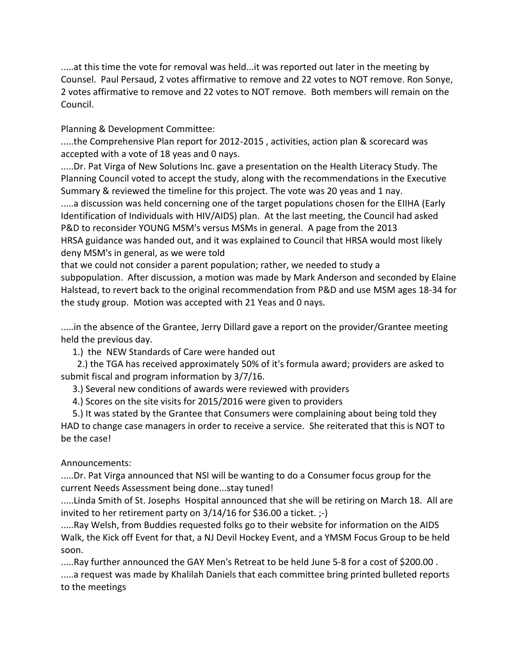.....at this time the vote for removal was held...it was reported out later in the meeting by Counsel. Paul Persaud, 2 votes affirmative to remove and 22 votes to NOT remove. Ron Sonye, 2 votes affirmative to remove and 22 votes to NOT remove. Both members will remain on the Council.

Planning & Development Committee:

.....the Comprehensive Plan report for 2012-2015 , activities, action plan & scorecard was accepted with a vote of 18 yeas and 0 nays.

.....Dr. Pat Virga of New Solutions Inc. gave a presentation on the Health Literacy Study. The Planning Council voted to accept the study, along with the recommendations in the Executive Summary & reviewed the timeline for this project. The vote was 20 yeas and 1 nay.

.....a discussion was held concerning one of the target populations chosen for the EIIHA (Early Identification of Individuals with HIV/AIDS) plan. At the last meeting, the Council had asked P&D to reconsider YOUNG MSM's versus MSMs in general. A page from the 2013 HRSA guidance was handed out, and it was explained to Council that HRSA would most likely deny MSM's in general, as we were told

that we could not consider a parent population; rather, we needed to study a subpopulation. After discussion, a motion was made by Mark Anderson and seconded by Elaine Halstead, to revert back to the original recommendation from P&D and use MSM ages 18-34 for the study group. Motion was accepted with 21 Yeas and 0 nays.

.....in the absence of the Grantee, Jerry Dillard gave a report on the provider/Grantee meeting held the previous day.

1.) the NEW Standards of Care were handed out

 2.) the TGA has received approximately 50% of it's formula award; providers are asked to submit fiscal and program information by 3/7/16.

3.) Several new conditions of awards were reviewed with providers

4.) Scores on the site visits for 2015/2016 were given to providers

 5.) It was stated by the Grantee that Consumers were complaining about being told they HAD to change case managers in order to receive a service. She reiterated that this is NOT to be the case!

## Announcements:

.....Dr. Pat Virga announced that NSI will be wanting to do a Consumer focus group for the current Needs Assessment being done...stay tuned!

.....Linda Smith of St. Josephs Hospital announced that she will be retiring on March 18. All are invited to her retirement party on  $3/14/16$  for \$36.00 a ticket.  $;-$ 

.....Ray Welsh, from Buddies requested folks go to their website for information on the AIDS Walk, the Kick off Event for that, a NJ Devil Hockey Event, and a YMSM Focus Group to be held soon.

.....Ray further announced the GAY Men's Retreat to be held June 5-8 for a cost of \$200.00 . .....a request was made by Khalilah Daniels that each committee bring printed bulleted reports to the meetings